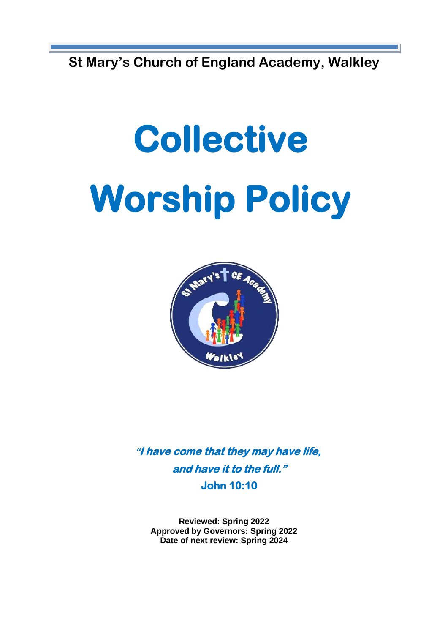**St Mary's Church of England Academy, Walkley** 

# **Collective Worship Policy**



**"I have come that they may have life, and have it to the full." John 10:10** 

**Reviewed: Spring 2022 Approved by Governors: Spring 2022 Date of next review: Spring 2024**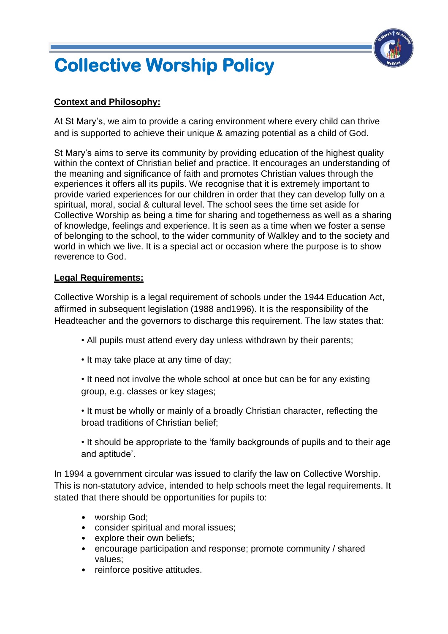## **Collective Worship Policy**



### **Context and Philosophy:**

At St Mary's, we aim to provide a caring environment where every child can thrive and is supported to achieve their unique & amazing potential as a child of God.

St Mary's aims to serve its community by providing education of the highest quality within the context of Christian belief and practice. It encourages an understanding of the meaning and significance of faith and promotes Christian values through the experiences it offers all its pupils. We recognise that it is extremely important to provide varied experiences for our children in order that they can develop fully on a spiritual, moral, social & cultural level. The school sees the time set aside for Collective Worship as being a time for sharing and togetherness as well as a sharing of knowledge, feelings and experience. It is seen as a time when we foster a sense of belonging to the school, to the wider community of Walkley and to the society and world in which we live. It is a special act or occasion where the purpose is to show reverence to God.

#### **Legal Requirements:**

Collective Worship is a legal requirement of schools under the 1944 Education Act, affirmed in subsequent legislation (1988 and1996). It is the responsibility of the Headteacher and the governors to discharge this requirement. The law states that:

- All pupils must attend every day unless withdrawn by their parents;
- It may take place at any time of day;
- It need not involve the whole school at once but can be for any existing group, e.g. classes or key stages;
- It must be wholly or mainly of a broadly Christian character, reflecting the broad traditions of Christian belief;

• It should be appropriate to the 'family backgrounds of pupils and to their age and aptitude'.

In 1994 a government circular was issued to clarify the law on Collective Worship. This is non-statutory advice, intended to help schools meet the legal requirements. It stated that there should be opportunities for pupils to:

- worship God;
- consider spiritual and moral issues;
- explore their own beliefs;
- encourage participation and response; promote community / shared values;
- reinforce positive attitudes.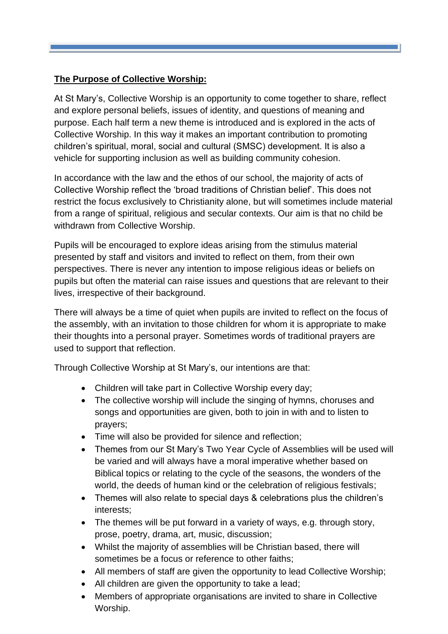#### **The Purpose of Collective Worship:**

At St Mary's, Collective Worship is an opportunity to come together to share, reflect and explore personal beliefs, issues of identity, and questions of meaning and purpose. Each half term a new theme is introduced and is explored in the acts of Collective Worship. In this way it makes an important contribution to promoting children's spiritual, moral, social and cultural (SMSC) development. It is also a vehicle for supporting inclusion as well as building community cohesion.

In accordance with the law and the ethos of our school, the majority of acts of Collective Worship reflect the 'broad traditions of Christian belief'. This does not restrict the focus exclusively to Christianity alone, but will sometimes include material from a range of spiritual, religious and secular contexts. Our aim is that no child be withdrawn from Collective Worship.

Pupils will be encouraged to explore ideas arising from the stimulus material presented by staff and visitors and invited to reflect on them, from their own perspectives. There is never any intention to impose religious ideas or beliefs on pupils but often the material can raise issues and questions that are relevant to their lives, irrespective of their background.

There will always be a time of quiet when pupils are invited to reflect on the focus of the assembly, with an invitation to those children for whom it is appropriate to make their thoughts into a personal prayer. Sometimes words of traditional prayers are used to support that reflection.

Through Collective Worship at St Mary's, our intentions are that:

- Children will take part in Collective Worship every day;
- The collective worship will include the singing of hymns, choruses and songs and opportunities are given, both to join in with and to listen to prayers;
- Time will also be provided for silence and reflection;
- Themes from our St Mary's Two Year Cycle of Assemblies will be used will be varied and will always have a moral imperative whether based on Biblical topics or relating to the cycle of the seasons, the wonders of the world, the deeds of human kind or the celebration of religious festivals;
- Themes will also relate to special days & celebrations plus the children's interests;
- The themes will be put forward in a variety of ways, e.g. through story, prose, poetry, drama, art, music, discussion;
- Whilst the majority of assemblies will be Christian based, there will sometimes be a focus or reference to other faiths;
- All members of staff are given the opportunity to lead Collective Worship;
- All children are given the opportunity to take a lead;
- Members of appropriate organisations are invited to share in Collective Worship.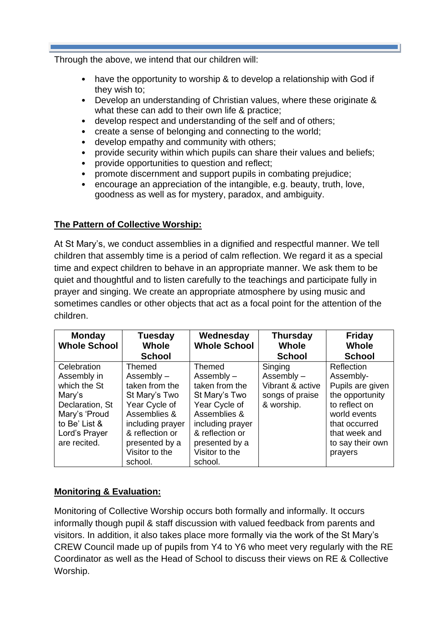Through the above, we intend that our children will:

- have the opportunity to worship & to develop a relationship with God if they wish to;
- Develop an understanding of Christian values, where these originate & what these can add to their own life & practice;
- develop respect and understanding of the self and of others;
- create a sense of belonging and connecting to the world;
- develop empathy and community with others;
- provide security within which pupils can share their values and beliefs;
- provide opportunities to question and reflect;
- promote discernment and support pupils in combating prejudice;
- encourage an appreciation of the intangible, e.g. beauty, truth, love, goodness as well as for mystery, paradox, and ambiguity.

#### **The Pattern of Collective Worship:**

At St Mary's, we conduct assemblies in a dignified and respectful manner. We tell children that assembly time is a period of calm reflection. We regard it as a special time and expect children to behave in an appropriate manner. We ask them to be quiet and thoughtful and to listen carefully to the teachings and participate fully in prayer and singing. We create an appropriate atmosphere by using music and sometimes candles or other objects that act as a focal point for the attention of the children.

| <b>Monday</b><br><b>Whole School</b> | <b>Tuesday</b><br><b>Whole</b><br><b>School</b> | Wednesday<br><b>Whole School</b> | <b>Thursday</b><br><b>Whole</b><br><b>School</b> | <b>Friday</b><br><b>Whole</b><br><b>School</b> |
|--------------------------------------|-------------------------------------------------|----------------------------------|--------------------------------------------------|------------------------------------------------|
| Celebration                          | <b>Themed</b>                                   | <b>Themed</b>                    | Singing                                          | Reflection                                     |
| Assembly in                          | Assembly $-$                                    |                                  | Assembly $-$                                     | Assembly-                                      |
|                                      |                                                 | $Assently -$                     |                                                  |                                                |
| which the St                         | taken from the                                  | taken from the                   | Vibrant & active                                 | Pupils are given                               |
| Mary's                               | St Mary's Two                                   | St Mary's Two                    | songs of praise                                  | the opportunity                                |
| Declaration, St                      | Year Cycle of                                   | Year Cycle of                    | & worship.                                       | to reflect on                                  |
| Mary's 'Proud                        | Assemblies &                                    | Assemblies &                     |                                                  | world events                                   |
| to Be' List &                        | including prayer                                | including prayer                 |                                                  | that occurred                                  |
| Lord's Prayer                        | & reflection or                                 | & reflection or                  |                                                  | that week and                                  |
| are recited.                         | presented by a                                  | presented by a                   |                                                  | to say their own                               |
|                                      | Visitor to the                                  | Visitor to the                   |                                                  | prayers                                        |
|                                      | school.                                         | school.                          |                                                  |                                                |

#### **Monitoring & Evaluation:**

Monitoring of Collective Worship occurs both formally and informally. It occurs informally though pupil & staff discussion with valued feedback from parents and visitors. In addition, it also takes place more formally via the work of the St Mary's CREW Council made up of pupils from Y4 to Y6 who meet very regularly with the RE Coordinator as well as the Head of School to discuss their views on RE & Collective Worship.